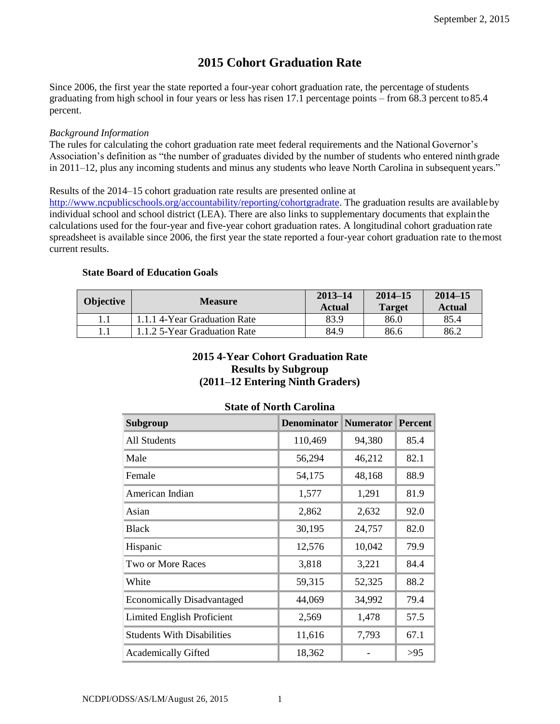# **2015 Cohort Graduation Rate**

Since 2006, the first year the state reported a four-year cohort graduation rate, the percentage of students graduating from high school in four years or less has risen 17.1 percentage points – from 68.3 percent to85.4 percent.

#### *Background Information*

The rules for calculating the cohort graduation rate meet federal requirements and the National Governor's Association's definition as "the number of graduates divided by the number of students who entered ninth grade in 2011–12, plus any incoming students and minus any students who leave North Carolina in subsequent years."

Results of the 2014–15 cohort graduation rate results are presented online at

[http://www.ncpublicschools.org/accountability/reporting/cohortgradrate.](http://www.ncpublicschools.org/accountability/reporting/cohortgradrate) The graduation results are available by individual school and school district (LEA). There are also links to supplementary documents that explain the calculations used for the four-year and five-year cohort graduation rates. A longitudinal cohort graduation rate spreadsheet is available since 2006, the first year the state reported a four-year cohort graduation rate to themost current results.

## **State Board of Education Goals**

| <b>Objective</b> | <b>Measure</b>               | $2013 - 14$<br><b>Actual</b> | $2014 - 15$<br><b>Target</b> | $2014 - 15$<br><b>Actual</b> |
|------------------|------------------------------|------------------------------|------------------------------|------------------------------|
|                  | 1.1.1 4-Year Graduation Rate | 83.9                         | 86.0                         | 85.4                         |
|                  | 1.1.2.5-Year Graduation Rate | 84.9                         | 86.6                         | 86.2                         |

## **2015 4-Year Cohort Graduation Rate Results by Subgroup (2011–12 Entering Ninth Graders)**

| Subgroup                          | <b>Denominator</b> | <b>Numerator</b> | <b>Percent</b> |
|-----------------------------------|--------------------|------------------|----------------|
| All Students                      | 110,469            | 94,380           | 85.4           |
| Male                              | 56,294             | 46,212           | 82.1           |
| Female                            | 54,175             | 48,168           | 88.9           |
| American Indian                   | 1,577              | 1,291            | 81.9           |
| Asian                             | 2,862              | 2,632            | 92.0           |
| <b>Black</b>                      | 30,195             | 24,757           | 82.0           |
| Hispanic                          | 12,576             | 10,042           | 79.9           |
| Two or More Races                 | 3,818              | 3,221            | 84.4           |
| White                             | 59,315             | 52,325           | 88.2           |
| <b>Economically Disadvantaged</b> | 44,069             | 34,992           | 79.4           |
| <b>Limited English Proficient</b> | 2,569              | 1,478            | 57.5           |
| <b>Students With Disabilities</b> | 11,616             | 7,793            | 67.1           |
| <b>Academically Gifted</b>        | 18,362             |                  | >95            |

## **State of North Carolina**